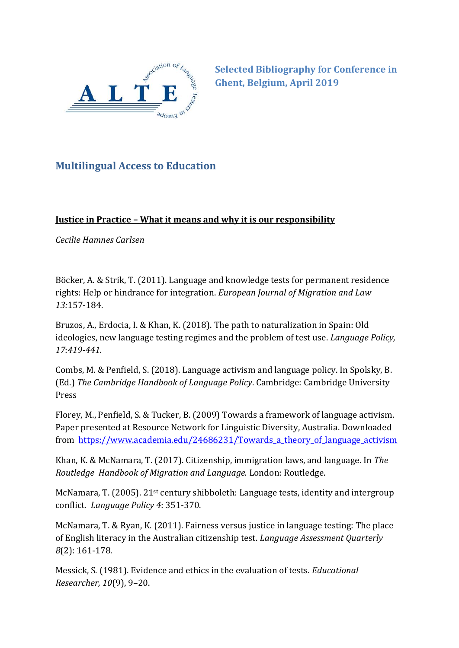

**Selected Bibliography for Conference in Ghent, Belgium, April 2019**

## **Multilingual Access to Education**

## **Justice in Practice – What it means and why it is our responsibility**

*Cecilie Hamnes Carlsen*

Böcker, A. & Strik, T. (2011). Language and knowledge tests for permanent residence rights: Help or hindrance for integration. *European Journal of Migration and Law 13:*157-184.

Bruzos, A., Erdocia, I. & Khan, K. (2018). The path to naturalization in Spain: Old ideologies, new language testing regimes and the problem of test use. *Language Policy, 17*:*419-441.*

Combs, M. & Penfield, S. (2018). Language activism and language policy. In Spolsky, B. (Ed.) *The Cambridge Handbook of Language Policy*. Cambridge: Cambridge University Press

Florey, M., Penfield, S. & Tucker, B. (2009) Towards a framework of language activism. Paper presented at Resource Network for Linguistic Diversity, Australia. Downloaded from [https://www.academia.edu/24686231/Towards\\_a\\_theory\\_of\\_language\\_activism](https://www.academia.edu/24686231/Towards_a_theory_of_language_activism)

Khan, K. & McNamara, T. (2017). Citizenship, immigration laws, and language. In *The Routledge Handbook of Migration and Language.* London: Routledge.

McNamara, T. (2005). 21st century shibboleth: Language tests, identity and intergroup conflict. *Language Policy 4*: 351-370.

McNamara, T. & Ryan, K. (2011). Fairness versus justice in language testing: The place of English literacy in the Australian citizenship test. *Language Assessment Quarterly 8*(2): 161-178.

Messick, S. (1981). Evidence and ethics in the evaluation of tests. *Educational Researcher, 10*(9), 9–20.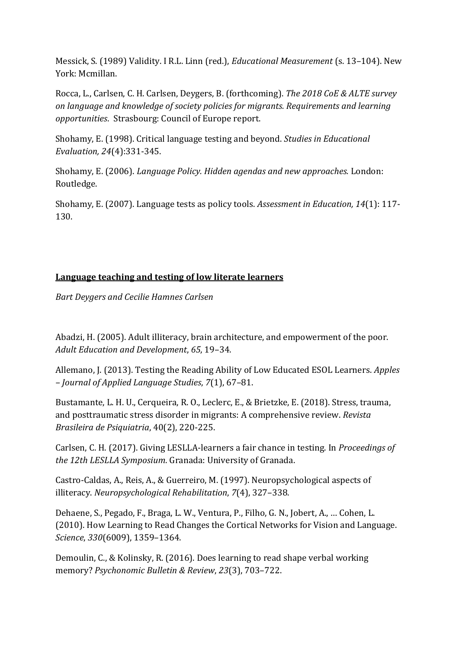Messick, S. (1989) Validity. I R.L. Linn (red.), *Educational Measurement* (s. 13–104). New York: Mcmillan.

Rocca, L., Carlsen, C. H. Carlsen, Deygers, B. (forthcoming). *The 2018 CoE & ALTE survey on language and knowledge of society policies for migrants. Requirements and learning opportunities*. Strasbourg: Council of Europe report.

Shohamy, E. (1998). Critical language testing and beyond. *Studies in Educational Evaluation, 24*(4):331-345.

Shohamy, E. (2006). *Language Policy. Hidden agendas and new approaches.* London: Routledge.

Shohamy, E. (2007). Language tests as policy tools. *Assessment in Education, 14*(1): 117- 130.

## **Language teaching and testing of low literate learners**

*Bart Deygers and Cecilie Hamnes Carlsen*

Abadzi, H. (2005). Adult illiteracy, brain architecture, and empowerment of the poor. *Adult Education and Development*, *65*, 19–34.

Allemano, J. (2013). Testing the Reading Ability of Low Educated ESOL Learners. *Apples – Journal of Applied Language Studies*, *7*(1), 67–81.

Bustamante, L. H. U., Cerqueira, R. O., Leclerc, E., & Brietzke, E. (2018). Stress, trauma, and posttraumatic stress disorder in migrants: A comprehensive review. *Revista Brasileira de Psiquiatria*, 40(2), 220-225.

Carlsen, C. H. (2017). Giving LESLLA-learners a fair chance in testing. In *Proceedings of the 12th LESLLA Symposium*. Granada: University of Granada.

Castro-Caldas, A., Reis, A., & Guerreiro, M. (1997). Neuropsychological aspects of illiteracy. *Neuropsychological Rehabilitation*, *7*(4), 327–338.

Dehaene, S., Pegado, F., Braga, L. W., Ventura, P., Filho, G. N., Jobert, A., … Cohen, L. (2010). How Learning to Read Changes the Cortical Networks for Vision and Language. *Science*, *330*(6009), 1359–1364.

Demoulin, C., & Kolinsky, R. (2016). Does learning to read shape verbal working memory? *Psychonomic Bulletin & Review*, *23*(3), 703–722.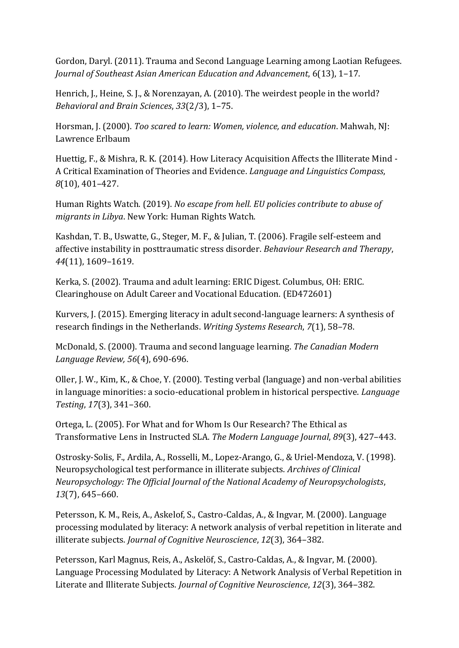Gordon, Daryl. (2011). Trauma and Second Language Learning among Laotian Refugees. *Journal of Southeast Asian American Education and Advancement*, 6(13), 1–17.

Henrich, J., Heine, S. J., & Norenzayan, A. (2010). The weirdest people in the world? *Behavioral and Brain Sciences*, *33*(2/3), 1–75.

Horsman, J. (2000). *Too scared to learn: Women, violence, and education*. Mahwah, NJ: Lawrence Erlbaum

Huettig, F., & Mishra, R. K. (2014). How Literacy Acquisition Affects the Illiterate Mind - A Critical Examination of Theories and Evidence. *Language and Linguistics Compass*, *8*(10), 401–427.

Human Rights Watch. (2019). *No escape from hell. EU policies contribute to abuse of migrants in Libya*. New York: Human Rights Watch.

Kashdan, T. B., Uswatte, G., Steger, M. F., & Julian, T. (2006). Fragile self-esteem and affective instability in posttraumatic stress disorder. *Behaviour Research and Therapy*, *44*(11), 1609–1619.

Kerka, S. (2002). Trauma and adult learning: ERIC Digest. Columbus, OH: ERIC. Clearinghouse on Adult Career and Vocational Education. (ED472601)

Kurvers, J. (2015). Emerging literacy in adult second-language learners: A synthesis of research findings in the Netherlands. *Writing Systems Research*, *7*(1), 58–78.

McDonald, S. (2000). Trauma and second language learning. *The Canadian Modern Language Review, 56*(4), 690-696.

Oller, J. W., Kim, K., & Choe, Y. (2000). Testing verbal (language) and non-verbal abilities in language minorities: a socio-educational problem in historical perspective. *Language Testing*, *17*(3), 341–360.

Ortega, L. (2005). For What and for Whom Is Our Research? The Ethical as Transformative Lens in Instructed SLA. *The Modern Language Journal*, *89*(3), 427–443.

Ostrosky-Solis, F., Ardila, A., Rosselli, M., Lopez-Arango, G., & Uriel-Mendoza, V. (1998). Neuropsychological test performance in illiterate subjects. *Archives of Clinical Neuropsychology: The Official Journal of the National Academy of Neuropsychologists*, *13*(7), 645–660.

Petersson, K. M., Reis, A., Askelof, S., Castro-Caldas, A., & Ingvar, M. (2000). Language processing modulated by literacy: A network analysis of verbal repetition in literate and illiterate subjects. *Journal of Cognitive Neuroscience*, *12*(3), 364–382.

Petersson, Karl Magnus, Reis, A., Askelöf, S., Castro-Caldas, A., & Ingvar, M. (2000). Language Processing Modulated by Literacy: A Network Analysis of Verbal Repetition in Literate and Illiterate Subjects. *Journal of Cognitive Neuroscience*, *12*(3), 364–382.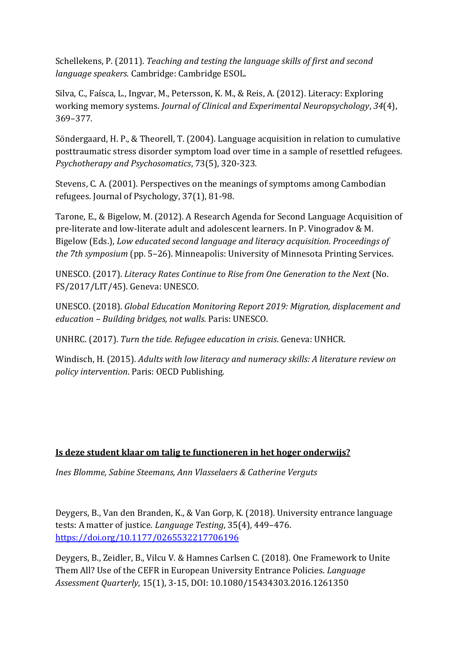Schellekens, P. (2011). *Teaching and testing the language skills of first and second language speakers.* Cambridge: Cambridge ESOL.

Silva, C., Faísca, L., Ingvar, M., Petersson, K. M., & Reis, A. (2012). Literacy: Exploring working memory systems. *Journal of Clinical and Experimental Neuropsychology*, *34*(4), 369–377.

Sö ndergaard, H. P., & Theorell, T. (2004). Language acquisition in relation to cumulative posttraumatic stress disorder symptom load over time in a sample of resettled refugees. *Psychotherapy and Psychosomatics*, 73(5), 320-323.

Stevens, C. A. (2001). Perspectives on the meanings of symptoms among Cambodian refugees. Journal of Psychology, 37(1), 81-98.

Tarone, E., & Bigelow, M. (2012). A Research Agenda for Second Language Acquisition of pre-literate and low-literate adult and adolescent learners. In P. Vinogradov & M. Bigelow (Eds.), *Low educated second language and literacy acquisition. Proceedings of the 7th symposium* (pp. 5–26). Minneapolis: University of Minnesota Printing Services.

UNESCO. (2017). *Literacy Rates Continue to Rise from One Generation to the Next* (No. FS/2017/LIT/45). Geneva: UNESCO.

UNESCO. (2018). *Global Education Monitoring Report 2019: Migration, displacement and education – Building bridges, not walls.* Paris: UNESCO.

UNHRC. (2017). *Turn the tide. Refugee education in crisis*. Geneva: UNHCR.

Windisch, H. (2015). *Adults with low literacy and numeracy skills: A literature review on policy intervention*. Paris: OECD Publishing.

## **Is deze student klaar om talig te functioneren in het hoger onderwijs?**

*Ines Blomme, Sabine Steemans, Ann Vlasselaers & Catherine Verguts*

Deygers, B., Van den Branden, K., & Van Gorp, K. (2018). University entrance language tests: A matter of justice. *Language Testing*, 35(4), 449–476. [https://doi.org/10.1177/0265532217706196](https://protect-eu.mimecast.com/s/gMziC2v44TKQ4wYhndKkR?domain=doi.org)

Deygers, B., Zeidler, B., Vilcu V. & Hamnes Carlsen C. (2018). One Framework to Unite Them All? Use of the CEFR in European University Entrance Policies. *Language Assessment Quarterly,* 15(1), 3-15, DOI: 10.1080/15434303.2016.1261350